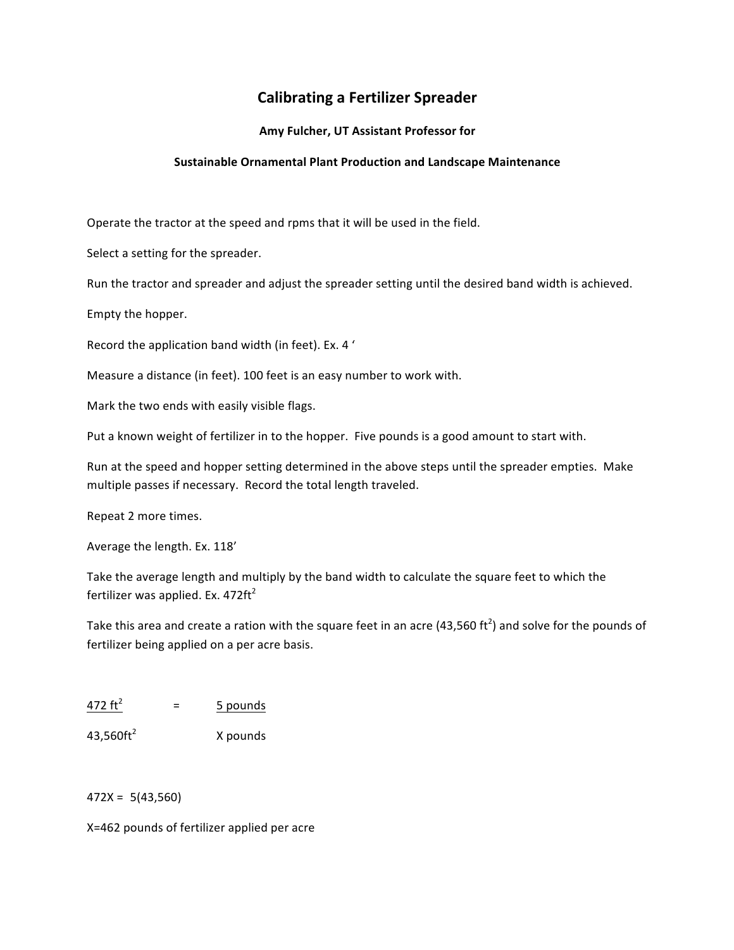## **Calibrating a Fertilizer Spreader**

## Amy Fulcher, UT Assistant Professor for

## **Sustainable\*Ornamental\*Plant\*Production\*and\*Landscape\*Maintenance**

Operate the tractor at the speed and rpms that it will be used in the field.

Select a setting for the spreader.

Run the tractor and spreader and adjust the spreader setting until the desired band width is achieved.

Empty the hopper.

Record the application band width (in feet). Ex. 4'

Measure a distance (in feet). 100 feet is an easy number to work with.

Mark the two ends with easily visible flags.

Put a known weight of fertilizer in to the hopper. Five pounds is a good amount to start with.

Run at the speed and hopper setting determined in the above steps until the spreader empties. Make multiple passes if necessary. Record the total length traveled.

Repeat 2 more times.

Average the length. Ex. 118'

Take the average length and multiply by the band width to calculate the square feet to which the fertilizer was applied. Ex.  $472 \text{ft}^2$ 

Take this area and create a ration with the square feet in an acre (43,560 ft<sup>2</sup>) and solve for the pounds of fertilizer being applied on a per acre basis.

| 472 $ft^2$ | 5 pounds |
|------------|----------|
|            |          |

 $43,560 \text{ft}^2$  X pounds

 $472X = 5(43,560)$ 

X=462 pounds of fertilizer applied per acre